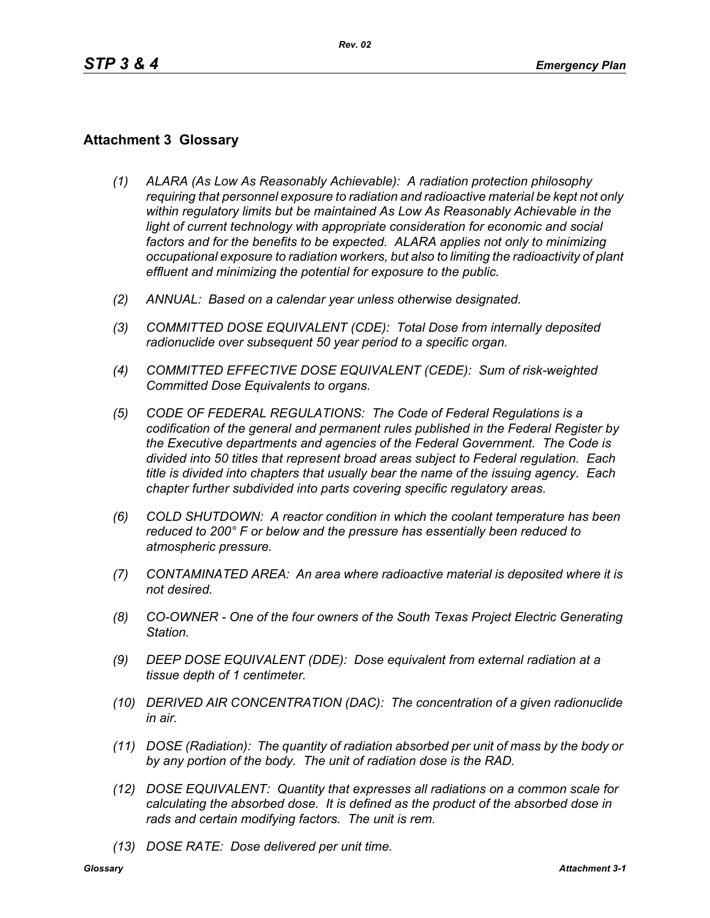## **Attachment 3 Glossary**

- *(1) ALARA (As Low As Reasonably Achievable): A radiation protection philosophy requiring that personnel exposure to radiation and radioactive material be kept not only within regulatory limits but be maintained As Low As Reasonably Achievable in the*  light of current technology with appropriate consideration for economic and social *factors and for the benefits to be expected. ALARA applies not only to minimizing occupational exposure to radiation workers, but also to limiting the radioactivity of plant effluent and minimizing the potential for exposure to the public.*
- *(2) ANNUAL: Based on a calendar year unless otherwise designated.*
- *(3) COMMITTED DOSE EQUIVALENT (CDE): Total Dose from internally deposited radionuclide over subsequent 50 year period to a specific organ.*
- *(4) COMMITTED EFFECTIVE DOSE EQUIVALENT (CEDE): Sum of risk-weighted Committed Dose Equivalents to organs.*
- *(5) CODE OF FEDERAL REGULATIONS: The Code of Federal Regulations is a codification of the general and permanent rules published in the Federal Register by the Executive departments and agencies of the Federal Government. The Code is divided into 50 titles that represent broad areas subject to Federal regulation. Each title is divided into chapters that usually bear the name of the issuing agency. Each chapter further subdivided into parts covering specific regulatory areas.*
- *(6) COLD SHUTDOWN: A reactor condition in which the coolant temperature has been reduced to 200° F or below and the pressure has essentially been reduced to atmospheric pressure.*
- *(7) CONTAMINATED AREA: An area where radioactive material is deposited where it is not desired.*
- *(8) CO-OWNER One of the four owners of the South Texas Project Electric Generating Station.*
- *(9) DEEP DOSE EQUIVALENT (DDE): Dose equivalent from external radiation at a tissue depth of 1 centimeter.*
- *(10) DERIVED AIR CONCENTRATION (DAC): The concentration of a given radionuclide in air.*
- *(11) DOSE (Radiation): The quantity of radiation absorbed per unit of mass by the body or by any portion of the body. The unit of radiation dose is the RAD.*
- *(12) DOSE EQUIVALENT: Quantity that expresses all radiations on a common scale for calculating the absorbed dose. It is defined as the product of the absorbed dose in rads and certain modifying factors. The unit is rem.*
- *(13) DOSE RATE: Dose delivered per unit time.*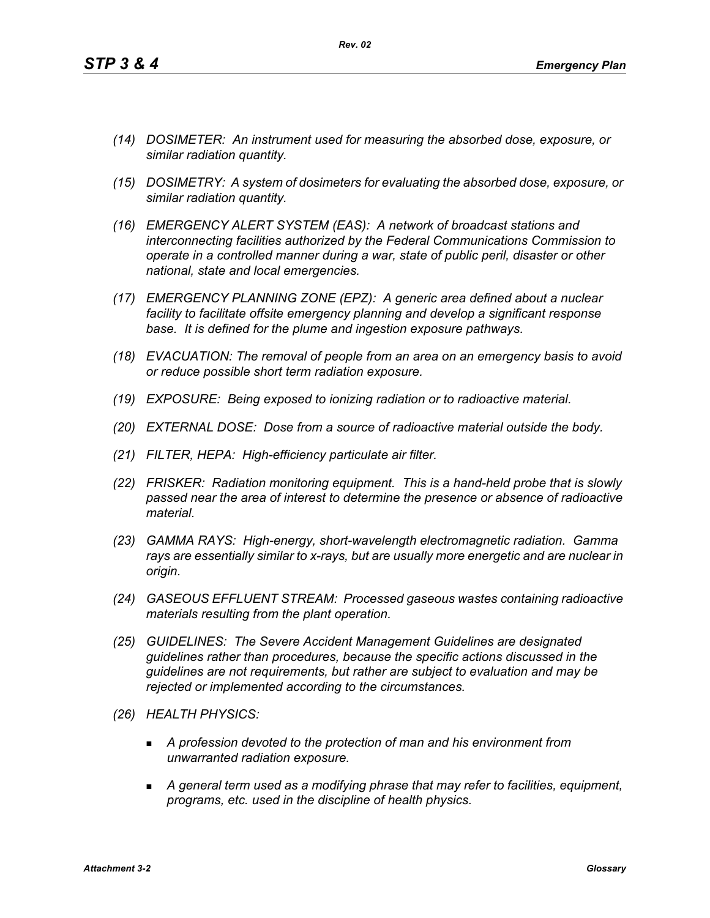*(14) DOSIMETER: An instrument used for measuring the absorbed dose, exposure, or similar radiation quantity.*

*Rev. 02*

- *(15) DOSIMETRY: A system of dosimeters for evaluating the absorbed dose, exposure, or similar radiation quantity.*
- *(16) EMERGENCY ALERT SYSTEM (EAS): A network of broadcast stations and interconnecting facilities authorized by the Federal Communications Commission to operate in a controlled manner during a war, state of public peril, disaster or other national, state and local emergencies.*
- *(17) EMERGENCY PLANNING ZONE (EPZ): A generic area defined about a nuclear facility to facilitate offsite emergency planning and develop a significant response base. It is defined for the plume and ingestion exposure pathways.*
- *(18) EVACUATION: The removal of people from an area on an emergency basis to avoid or reduce possible short term radiation exposure.*
- *(19) EXPOSURE: Being exposed to ionizing radiation or to radioactive material.*
- *(20) EXTERNAL DOSE: Dose from a source of radioactive material outside the body.*
- *(21) FILTER, HEPA: High-efficiency particulate air filter.*
- *(22) FRISKER: Radiation monitoring equipment. This is a hand-held probe that is slowly passed near the area of interest to determine the presence or absence of radioactive material.*
- *(23) GAMMA RAYS: High-energy, short-wavelength electromagnetic radiation. Gamma rays are essentially similar to x-rays, but are usually more energetic and are nuclear in origin.*
- *(24) GASEOUS EFFLUENT STREAM: Processed gaseous wastes containing radioactive materials resulting from the plant operation.*
- *(25) GUIDELINES: The Severe Accident Management Guidelines are designated guidelines rather than procedures, because the specific actions discussed in the guidelines are not requirements, but rather are subject to evaluation and may be rejected or implemented according to the circumstances.*
- *(26) HEALTH PHYSICS:*
	- *A profession devoted to the protection of man and his environment from unwarranted radiation exposure.*
	- *A general term used as a modifying phrase that may refer to facilities, equipment, programs, etc. used in the discipline of health physics.*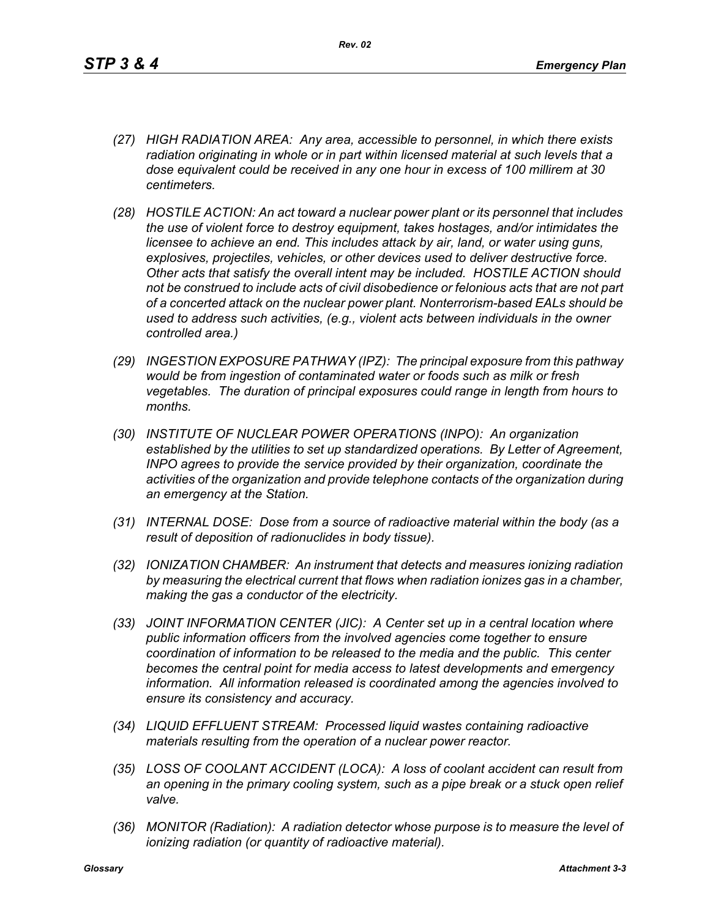- *(27) HIGH RADIATION AREA: Any area, accessible to personnel, in which there exists radiation originating in whole or in part within licensed material at such levels that a dose equivalent could be received in any one hour in excess of 100 millirem at 30 centimeters.*
- *(28) HOSTILE ACTION: An act toward a nuclear power plant or its personnel that includes the use of violent force to destroy equipment, takes hostages, and/or intimidates the licensee to achieve an end. This includes attack by air, land, or water using guns, explosives, projectiles, vehicles, or other devices used to deliver destructive force. Other acts that satisfy the overall intent may be included. HOSTILE ACTION should not be construed to include acts of civil disobedience or felonious acts that are not part of a concerted attack on the nuclear power plant. Nonterrorism-based EALs should be used to address such activities, (e.g., violent acts between individuals in the owner controlled area.)*
- *(29) INGESTION EXPOSURE PATHWAY (IPZ): The principal exposure from this pathway would be from ingestion of contaminated water or foods such as milk or fresh vegetables. The duration of principal exposures could range in length from hours to months.*
- *(30) INSTITUTE OF NUCLEAR POWER OPERATIONS (INPO): An organization established by the utilities to set up standardized operations. By Letter of Agreement, INPO agrees to provide the service provided by their organization, coordinate the activities of the organization and provide telephone contacts of the organization during an emergency at the Station.*
- *(31) INTERNAL DOSE: Dose from a source of radioactive material within the body (as a result of deposition of radionuclides in body tissue).*
- *(32) IONIZATION CHAMBER: An instrument that detects and measures ionizing radiation by measuring the electrical current that flows when radiation ionizes gas in a chamber, making the gas a conductor of the electricity.*
- *(33) JOINT INFORMATION CENTER (JIC): A Center set up in a central location where public information officers from the involved agencies come together to ensure coordination of information to be released to the media and the public. This center becomes the central point for media access to latest developments and emergency information. All information released is coordinated among the agencies involved to ensure its consistency and accuracy.*
- *(34) LIQUID EFFLUENT STREAM: Processed liquid wastes containing radioactive materials resulting from the operation of a nuclear power reactor.*
- *(35) LOSS OF COOLANT ACCIDENT (LOCA): A loss of coolant accident can result from an opening in the primary cooling system, such as a pipe break or a stuck open relief valve.*
- *(36) MONITOR (Radiation): A radiation detector whose purpose is to measure the level of ionizing radiation (or quantity of radioactive material).*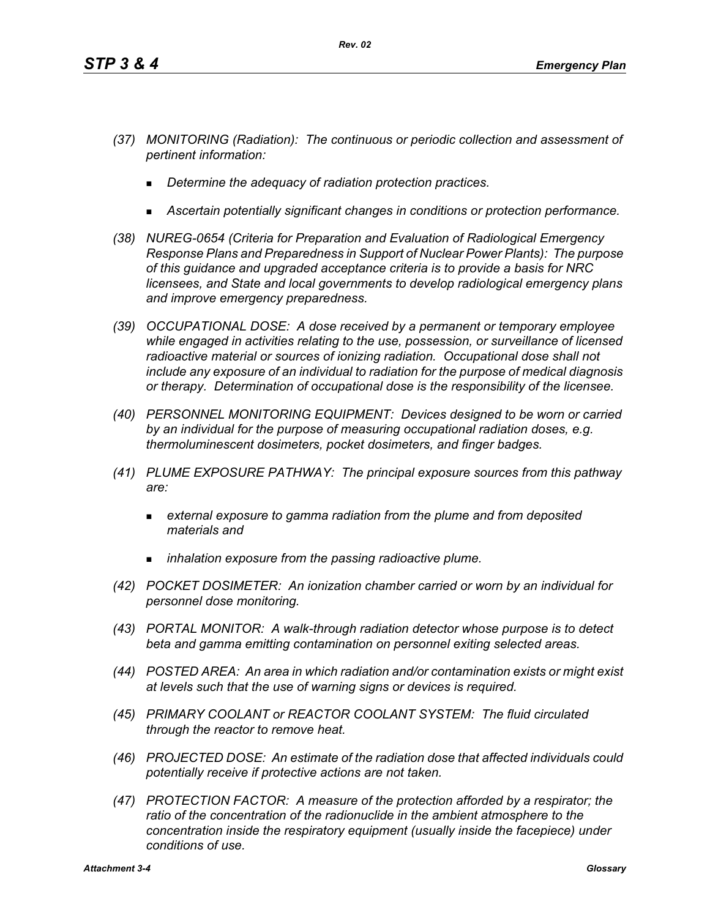- *(37) MONITORING (Radiation): The continuous or periodic collection and assessment of pertinent information:*
	- *Determine the adequacy of radiation protection practices.*
	- *Ascertain potentially significant changes in conditions or protection performance.*
- *(38) NUREG-0654 (Criteria for Preparation and Evaluation of Radiological Emergency Response Plans and Preparedness in Support of Nuclear Power Plants): The purpose of this guidance and upgraded acceptance criteria is to provide a basis for NRC licensees, and State and local governments to develop radiological emergency plans and improve emergency preparedness.*
- *(39) OCCUPATIONAL DOSE: A dose received by a permanent or temporary employee while engaged in activities relating to the use, possession, or surveillance of licensed radioactive material or sources of ionizing radiation. Occupational dose shall not include any exposure of an individual to radiation for the purpose of medical diagnosis or therapy. Determination of occupational dose is the responsibility of the licensee.*
- *(40) PERSONNEL MONITORING EQUIPMENT: Devices designed to be worn or carried by an individual for the purpose of measuring occupational radiation doses, e.g. thermoluminescent dosimeters, pocket dosimeters, and finger badges.*
- *(41) PLUME EXPOSURE PATHWAY: The principal exposure sources from this pathway are:*
	- *external exposure to gamma radiation from the plume and from deposited materials and*
	- *inhalation exposure from the passing radioactive plume.*
- *(42) POCKET DOSIMETER: An ionization chamber carried or worn by an individual for personnel dose monitoring.*
- *(43) PORTAL MONITOR: A walk-through radiation detector whose purpose is to detect beta and gamma emitting contamination on personnel exiting selected areas.*
- *(44) POSTED AREA: An area in which radiation and/or contamination exists or might exist at levels such that the use of warning signs or devices is required.*
- *(45) PRIMARY COOLANT or REACTOR COOLANT SYSTEM: The fluid circulated through the reactor to remove heat.*
- *(46) PROJECTED DOSE: An estimate of the radiation dose that affected individuals could potentially receive if protective actions are not taken.*
- *(47) PROTECTION FACTOR: A measure of the protection afforded by a respirator; the*  ratio of the concentration of the radionuclide in the ambient atmosphere to the *concentration inside the respiratory equipment (usually inside the facepiece) under conditions of use.*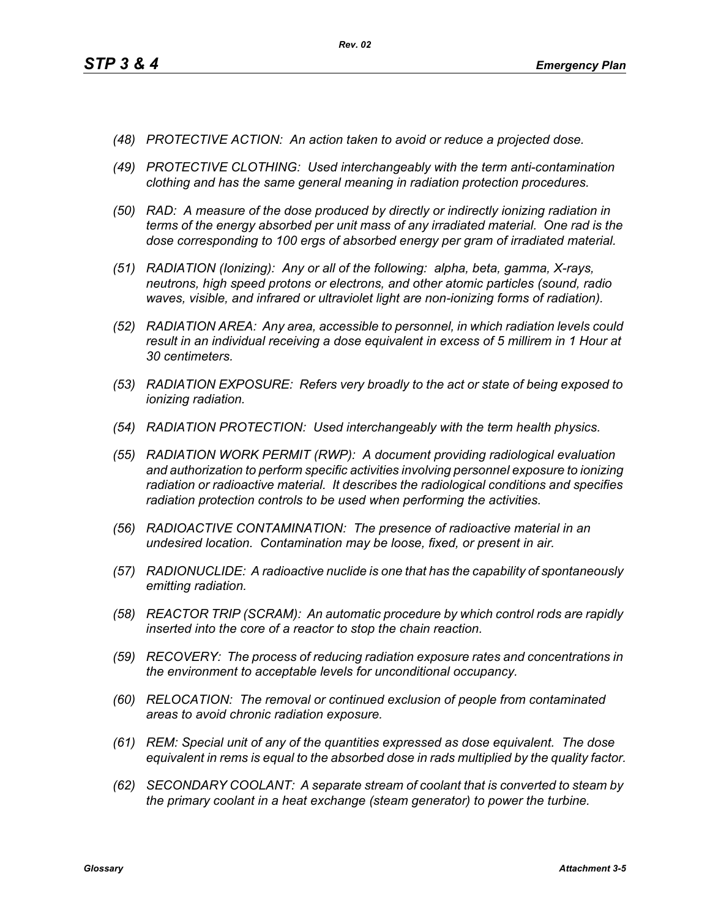- *(48) PROTECTIVE ACTION: An action taken to avoid or reduce a projected dose.*
- *(49) PROTECTIVE CLOTHING: Used interchangeably with the term anti-contamination clothing and has the same general meaning in radiation protection procedures.*
- *(50) RAD: A measure of the dose produced by directly or indirectly ionizing radiation in terms of the energy absorbed per unit mass of any irradiated material. One rad is the dose corresponding to 100 ergs of absorbed energy per gram of irradiated material.*
- *(51) RADIATION (Ionizing): Any or all of the following: alpha, beta, gamma, X-rays, neutrons, high speed protons or electrons, and other atomic particles (sound, radio waves, visible, and infrared or ultraviolet light are non-ionizing forms of radiation).*
- *(52) RADIATION AREA: Any area, accessible to personnel, in which radiation levels could result in an individual receiving a dose equivalent in excess of 5 millirem in 1 Hour at 30 centimeters.*
- *(53) RADIATION EXPOSURE: Refers very broadly to the act or state of being exposed to ionizing radiation.*
- *(54) RADIATION PROTECTION: Used interchangeably with the term health physics.*
- *(55) RADIATION WORK PERMIT (RWP): A document providing radiological evaluation and authorization to perform specific activities involving personnel exposure to ionizing radiation or radioactive material. It describes the radiological conditions and specifies radiation protection controls to be used when performing the activities.*
- *(56) RADIOACTIVE CONTAMINATION: The presence of radioactive material in an undesired location. Contamination may be loose, fixed, or present in air.*
- *(57) RADIONUCLIDE: A radioactive nuclide is one that has the capability of spontaneously emitting radiation.*
- *(58) REACTOR TRIP (SCRAM): An automatic procedure by which control rods are rapidly inserted into the core of a reactor to stop the chain reaction.*
- *(59) RECOVERY: The process of reducing radiation exposure rates and concentrations in the environment to acceptable levels for unconditional occupancy.*
- *(60) RELOCATION: The removal or continued exclusion of people from contaminated areas to avoid chronic radiation exposure.*
- *(61) REM: Special unit of any of the quantities expressed as dose equivalent. The dose equivalent in rems is equal to the absorbed dose in rads multiplied by the quality factor.*
- *(62) SECONDARY COOLANT: A separate stream of coolant that is converted to steam by the primary coolant in a heat exchange (steam generator) to power the turbine.*